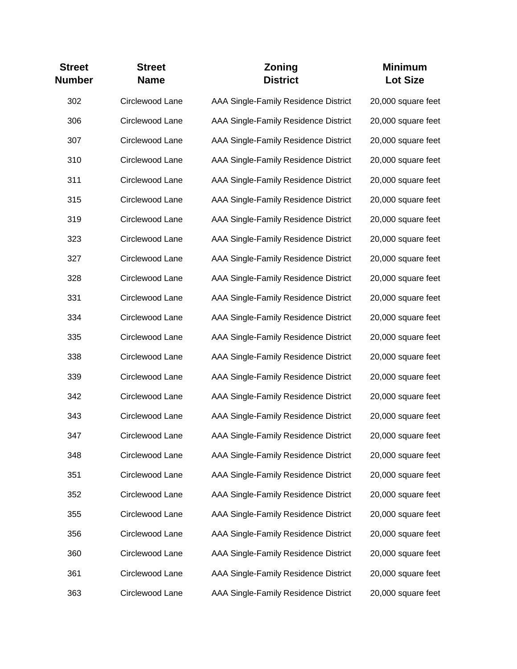| <b>Street</b><br><b>Number</b> | <b>Street</b><br><b>Name</b> | Zoning<br><b>District</b>            | <b>Minimum</b><br><b>Lot Size</b> |
|--------------------------------|------------------------------|--------------------------------------|-----------------------------------|
| 302                            | Circlewood Lane              | AAA Single-Family Residence District | 20,000 square feet                |
| 306                            | Circlewood Lane              | AAA Single-Family Residence District | 20,000 square feet                |
| 307                            | Circlewood Lane              | AAA Single-Family Residence District | 20,000 square feet                |
| 310                            | Circlewood Lane              | AAA Single-Family Residence District | 20,000 square feet                |
| 311                            | Circlewood Lane              | AAA Single-Family Residence District | 20,000 square feet                |
| 315                            | Circlewood Lane              | AAA Single-Family Residence District | 20,000 square feet                |
| 319                            | Circlewood Lane              | AAA Single-Family Residence District | 20,000 square feet                |
| 323                            | Circlewood Lane              | AAA Single-Family Residence District | 20,000 square feet                |
| 327                            | Circlewood Lane              | AAA Single-Family Residence District | 20,000 square feet                |
| 328                            | Circlewood Lane              | AAA Single-Family Residence District | 20,000 square feet                |
| 331                            | Circlewood Lane              | AAA Single-Family Residence District | 20,000 square feet                |
| 334                            | Circlewood Lane              | AAA Single-Family Residence District | 20,000 square feet                |
| 335                            | Circlewood Lane              | AAA Single-Family Residence District | 20,000 square feet                |
| 338                            | Circlewood Lane              | AAA Single-Family Residence District | 20,000 square feet                |
| 339                            | Circlewood Lane              | AAA Single-Family Residence District | 20,000 square feet                |
| 342                            | Circlewood Lane              | AAA Single-Family Residence District | 20,000 square feet                |
| 343                            | Circlewood Lane              | AAA Single-Family Residence District | 20,000 square feet                |
| 347                            | Circlewood Lane              | AAA Single-Family Residence District | 20,000 square feet                |
| 348                            | Circlewood Lane              | AAA Single-Family Residence District | 20,000 square feet                |
| 351                            | Circlewood Lane              | AAA Single-Family Residence District | 20,000 square feet                |
| 352                            | Circlewood Lane              | AAA Single-Family Residence District | 20,000 square feet                |
| 355                            | Circlewood Lane              | AAA Single-Family Residence District | 20,000 square feet                |
| 356                            | Circlewood Lane              | AAA Single-Family Residence District | 20,000 square feet                |
| 360                            | Circlewood Lane              | AAA Single-Family Residence District | 20,000 square feet                |
| 361                            | Circlewood Lane              | AAA Single-Family Residence District | 20,000 square feet                |
| 363                            | Circlewood Lane              | AAA Single-Family Residence District | 20,000 square feet                |